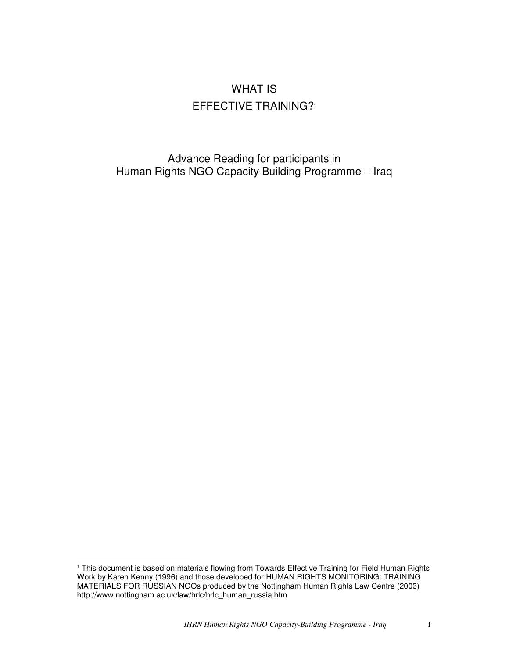# WHAT IS EFFECTIVE TRAINING? 1

Advance Reading for participants in Human Rights NGO Capacity Building Programme – Iraq

<sup>1</sup> This document is based on materials flowing from Towards Effective Training for Field Human Rights Work by Karen Kenny (1996) and those developed for HUMAN RIGHTS MONITORING: TRAINING MATERIALS FOR RUSSIAN NGOs produced by the Nottingham Human Rights Law Centre (2003) http://www.nottingham.ac.uk/law/hrlc/hrlc\_human\_russia.htm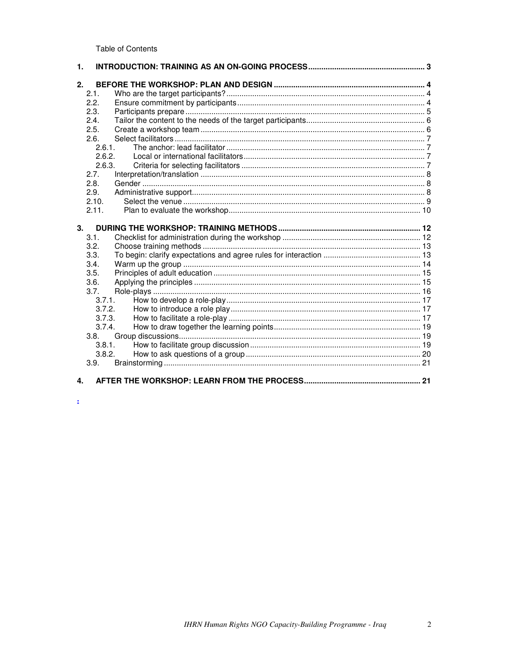**Table of Contents** 

| 1. |        |  |
|----|--------|--|
| 2. |        |  |
|    | 2.1.   |  |
|    | 2.2.   |  |
|    | 2.3.   |  |
|    | 2.4.   |  |
|    | 2.5.   |  |
|    | 2.6.   |  |
|    | 2.6.1. |  |
|    | 2.6.2. |  |
|    | 2.6.3. |  |
|    | 2.7.   |  |
|    | 2.8.   |  |
|    | 2.9.   |  |
|    | 2.10.  |  |
|    | 2.11.  |  |
|    |        |  |
| 3. |        |  |
|    | 3.1.   |  |
|    | 3.2.   |  |
|    | 3.3.   |  |
|    |        |  |
|    | 3.4.   |  |
|    | 3.5.   |  |
|    | 3.6.   |  |
|    | 3.7.   |  |
|    | 3.7.1. |  |
|    | 3.7.2. |  |
|    | 3.7.3. |  |
|    | 3.7.4. |  |
|    | 3.8.   |  |
|    | 3.8.1. |  |
|    | 3.8.2. |  |
|    | 3.9.   |  |

 $\Delta$ 

2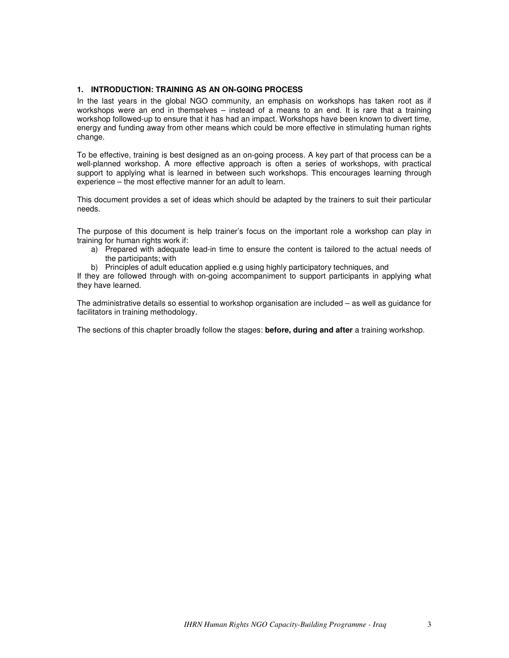# **1. INTRODUCTION: TRAINING AS AN ON-GOING PROCESS**

In the last years in the global NGO community, an emphasis on workshops has taken root as if workshops were an end in themselves – instead of a means to an end. It is rare that a training workshop followed-up to ensure that it has had an impact. Workshops have been known to divert time, energy and funding away from other means which could be more effective in stimulating human rights change.

To be effective, training is best designed as an on-going process. A key part of that process can be a well-planned workshop. A more effective approach is often a series of workshops, with practical support to applying what is learned in between such workshops. This encourages learning through experience – the most effective manner for an adult to learn.

This document provides a set of ideas which should be adapted by the trainers to suit their particular needs.

The purpose of this document is help trainer's focus on the important role a workshop can play in training for human rights work if:

- a) Prepared with adequate lead-in time to ensure the content is tailored to the actual needs of the participants; with
- b) Principles of adult education applied e.g using highly participatory techniques, and

If they are followed through with on-going accompaniment to support participants in applying what they have learned.

The administrative details so essential to workshop organisation are included – as well as guidance for facilitators in training methodology.

The sections of this chapter broadly follow the stages: **before, during and after** a training workshop.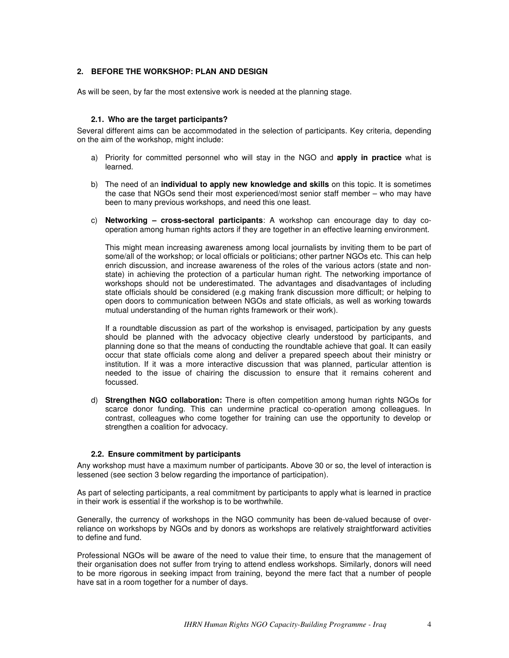# **2. BEFORE THE WORKSHOP: PLAN AND DESIGN**

As will be seen, by far the most extensive work is needed at the planning stage.

#### **2.1. Who are the target participants?**

Several different aims can be accommodated in the selection of participants. Key criteria, depending on the aim of the workshop, might include:

- a) Priority for committed personnel who will stay in the NGO and **apply in practice** what is learned.
- b) The need of an **individual to apply new knowledge and skills** on this topic. It is sometimes the case that NGOs send their most experienced/most senior staff member – who may have been to many previous workshops, and need this one least.
- c) **Networking – cross-sectoral participants**: A workshop can encourage day to day cooperation among human rights actors if they are together in an effective learning environment.

This might mean increasing awareness among local journalists by inviting them to be part of some/all of the workshop; or local officials or politicians; other partner NGOs etc. This can help enrich discussion, and increase awareness of the roles of the various actors (state and nonstate) in achieving the protection of a particular human right. The networking importance of workshops should not be underestimated. The advantages and disadvantages of including state officials should be considered (e.g making frank discussion more difficult; or helping to open doors to communication between NGOs and state officials, as well as working towards mutual understanding of the human rights framework or their work).

If a roundtable discussion as part of the workshop is envisaged, participation by any guests should be planned with the advocacy objective clearly understood by participants, and planning done so that the means of conducting the roundtable achieve that goal. It can easily occur that state officials come along and deliver a prepared speech about their ministry or institution. If it was a more interactive discussion that was planned, particular attention is needed to the issue of chairing the discussion to ensure that it remains coherent and focussed.

d) **Strengthen NGO collaboration:** There is often competition among human rights NGOs for scarce donor funding. This can undermine practical co-operation among colleagues. In contrast, colleagues who come together for training can use the opportunity to develop or strengthen a coalition for advocacy.

#### **2.2. Ensure commitment by participants**

Any workshop must have a maximum number of participants. Above 30 or so, the level of interaction is lessened (see section 3 below regarding the importance of participation).

As part of selecting participants, a real commitment by participants to apply what is learned in practice in their work is essential if the workshop is to be worthwhile.

Generally, the currency of workshops in the NGO community has been de-valued because of overreliance on workshops by NGOs and by donors as workshops are relatively straightforward activities to define and fund.

Professional NGOs will be aware of the need to value their time, to ensure that the management of their organisation does not suffer from trying to attend endless workshops. Similarly, donors will need to be more rigorous in seeking impact from training, beyond the mere fact that a number of people have sat in a room together for a number of days.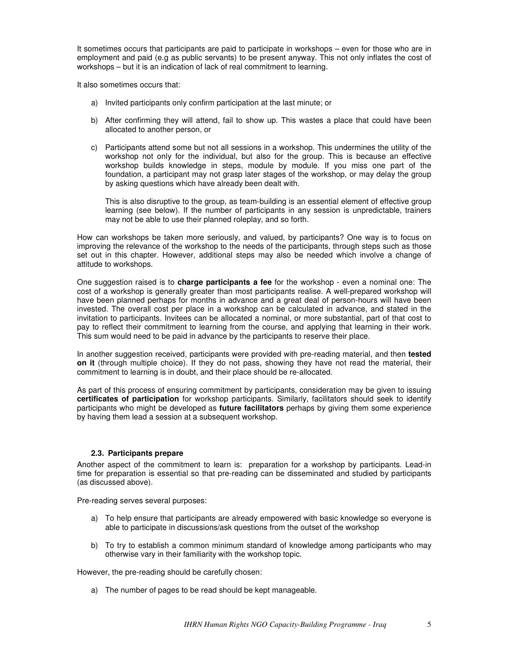It sometimes occurs that participants are paid to participate in workshops – even for those who are in employment and paid (e.g as public servants) to be present anyway. This not only inflates the cost of workshops – but it is an indication of lack of real commitment to learning.

It also sometimes occurs that:

- a) Invited participants only confirm participation at the last minute; or
- b) After confirming they will attend, fail to show up. This wastes a place that could have been allocated to another person, or
- c) Participants attend some but not all sessions in a workshop. This undermines the utility of the workshop not only for the individual, but also for the group. This is because an effective workshop builds knowledge in steps, module by module. If you miss one part of the foundation, a participant may not grasp later stages of the workshop, or may delay the group by asking questions which have already been dealt with.

This is also disruptive to the group, as team-building is an essential element of effective group learning (see below). If the number of participants in any session is unpredictable, trainers may not be able to use their planned roleplay, and so forth.

How can workshops be taken more seriously, and valued, by participants? One way is to focus on improving the relevance of the workshop to the needs of the participants, through steps such as those set out in this chapter. However, additional steps may also be needed which involve a change of attitude to workshops.

One suggestion raised is to **charge participants a fee** for the workshop - even a nominal one: The cost of a workshop is generally greater than most participants realise. A well-prepared workshop will have been planned perhaps for months in advance and a great deal of person-hours will have been invested. The overall cost per place in a workshop can be calculated in advance, and stated in the invitation to participants. Invitees can be allocated a nominal, or more substantial, part of that cost to pay to reflect their commitment to learning from the course, and applying that learning in their work. This sum would need to be paid in advance by the participants to reserve their place.

In another suggestion received, participants were provided with pre-reading material, and then **tested on it** (through multiple choice). If they do not pass, showing they have not read the material, their commitment to learning is in doubt, and their place should be re-allocated.

As part of this process of ensuring commitment by participants, consideration may be given to issuing **certificates of participation** for workshop participants. Similarly, facilitators should seek to identify participants who might be developed as **future facilitators** perhaps by giving them some experience by having them lead a session at a subsequent workshop.

## **2.3. Participants prepare**

Another aspect of the commitment to learn is: preparation for a workshop by participants. Lead-in time for preparation is essential so that pre-reading can be disseminated and studied by participants (as discussed above).

Pre-reading serves several purposes:

- a) To help ensure that participants are already empowered with basic knowledge so everyone is able to participate in discussions/ask questions from the outset of the workshop
- b) To try to establish a common minimum standard of knowledge among participants who may otherwise vary in their familiarity with the workshop topic.

However, the pre-reading should be carefully chosen:

a) The number of pages to be read should be kept manageable.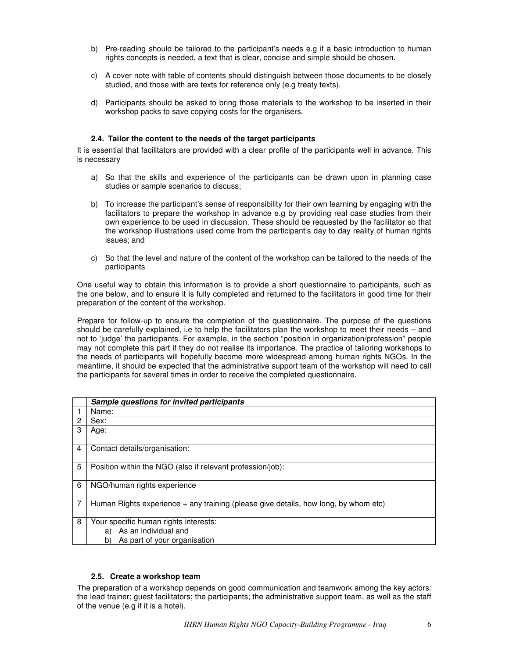- b) Pre-reading should be tailored to the participant's needs e.g if a basic introduction to human rights concepts is needed, a text that is clear, concise and simple should be chosen.
- c) A cover note with table of contents should distinguish between those documents to be closely studied, and those with are texts for reference only (e.g treaty texts).
- d) Participants should be asked to bring those materials to the workshop to be inserted in their workshop packs to save copying costs for the organisers.

# **2.4. Tailor the content to the needs of the target participants**

It is essential that facilitators are provided with a clear profile of the participants well in advance. This is necessary

- a) So that the skills and experience of the participants can be drawn upon in planning case studies or sample scenarios to discuss;
- b) To increase the participant's sense of responsibility for their own learning by engaging with the facilitators to prepare the workshop in advance e.g by providing real case studies from their own experience to be used in discussion. These should be requested by the facilitator so that the workshop illustrations used come from the participant's day to day reality of human rights issues; and
- c) So that the level and nature of the content of the workshop can be tailored to the needs of the participants

One useful way to obtain this information is to provide a short questionnaire to participants, such as the one below, and to ensure it is fully completed and returned to the facilitators in good time for their preparation of the content of the workshop.

Prepare for follow-up to ensure the completion of the questionnaire. The purpose of the questions should be carefully explained, i.e to help the facilitators plan the workshop to meet their needs – and not to 'judge' the participants. For example, in the section "position in organization/profession" people may not complete this part if they do not realise its importance. The practice of tailoring workshops to the needs of participants will hopefully become more widespread among human rights NGOs. In the meantime, it should be expected that the administrative support team of the workshop will need to call the participants for several times in order to receive the completed questionnaire.

|   | Sample questions for invited participants                                             |  |  |
|---|---------------------------------------------------------------------------------------|--|--|
|   | Name:                                                                                 |  |  |
| 2 | Sex:                                                                                  |  |  |
| 3 | Age:                                                                                  |  |  |
| 4 | Contact details/organisation:                                                         |  |  |
| 5 | Position within the NGO (also if relevant profession/job):                            |  |  |
| 6 | NGO/human rights experience                                                           |  |  |
|   | Human Rights experience $+$ any training (please give details, how long, by whom etc) |  |  |
| 8 | Your specific human rights interests:                                                 |  |  |
|   | a) As an individual and                                                               |  |  |
|   | As part of your organisation<br>b)                                                    |  |  |

## **2.5. Create a workshop team**

The preparation of a workshop depends on good communication and teamwork among the key actors: the lead trainer; guest facilitators; the participants; the administrative support team, as well as the staff of the venue (e.g if it is a hotel).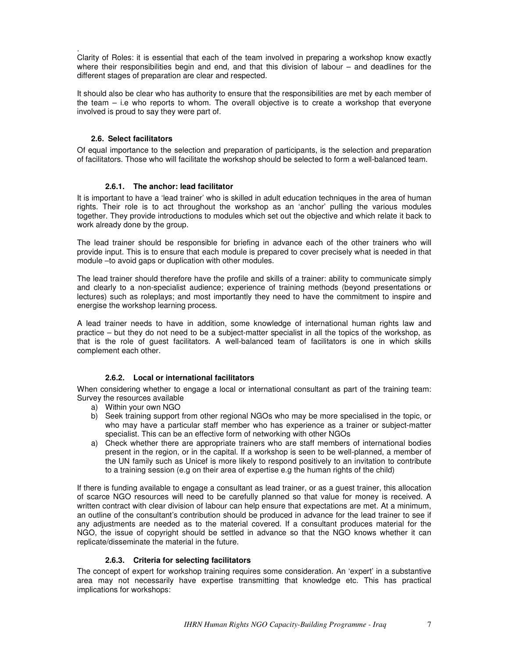. Clarity of Roles: it is essential that each of the team involved in preparing a workshop know exactly where their responsibilities begin and end, and that this division of labour – and deadlines for the different stages of preparation are clear and respected.

It should also be clear who has authority to ensure that the responsibilities are met by each member of the team – i.e who reports to whom. The overall objective is to create a workshop that everyone involved is proud to say they were part of.

# **2.6. Select facilitators**

Of equal importance to the selection and preparation of participants, is the selection and preparation of facilitators. Those who will facilitate the workshop should be selected to form a well-balanced team.

# **2.6.1. The anchor: lead facilitator**

It is important to have a 'lead trainer' who is skilled in adult education techniques in the area of human rights. Their role is to act throughout the workshop as an 'anchor' pulling the various modules together. They provide introductions to modules which set out the objective and which relate it back to work already done by the group.

The lead trainer should be responsible for briefing in advance each of the other trainers who will provide input. This is to ensure that each module is prepared to cover precisely what is needed in that module –to avoid gaps or duplication with other modules.

The lead trainer should therefore have the profile and skills of a trainer: ability to communicate simply and clearly to a non-specialist audience; experience of training methods (beyond presentations or lectures) such as roleplays; and most importantly they need to have the commitment to inspire and energise the workshop learning process.

A lead trainer needs to have in addition, some knowledge of international human rights law and practice – but they do not need to be a subject-matter specialist in all the topics of the workshop, as that is the role of guest facilitators. A well-balanced team of facilitators is one in which skills complement each other.

## **2.6.2. Local or international facilitators**

When considering whether to engage a local or international consultant as part of the training team: Survey the resources available

- a) Within your own NGO
- b) Seek training support from other regional NGOs who may be more specialised in the topic, or who may have a particular staff member who has experience as a trainer or subject-matter specialist. This can be an effective form of networking with other NGOs
- a) Check whether there are appropriate trainers who are staff members of international bodies present in the region, or in the capital. If a workshop is seen to be well-planned, a member of the UN family such as Unicef is more likely to respond positively to an invitation to contribute to a training session (e.g on their area of expertise e.g the human rights of the child)

If there is funding available to engage a consultant as lead trainer, or as a guest trainer, this allocation of scarce NGO resources will need to be carefully planned so that value for money is received. A written contract with clear division of labour can help ensure that expectations are met. At a minimum, an outline of the consultant's contribution should be produced in advance for the lead trainer to see if any adjustments are needed as to the material covered. If a consultant produces material for the NGO, the issue of copyright should be settled in advance so that the NGO knows whether it can replicate/disseminate the material in the future.

# **2.6.3. Criteria for selecting facilitators**

The concept of expert for workshop training requires some consideration. An 'expert' in a substantive area may not necessarily have expertise transmitting that knowledge etc. This has practical implications for workshops: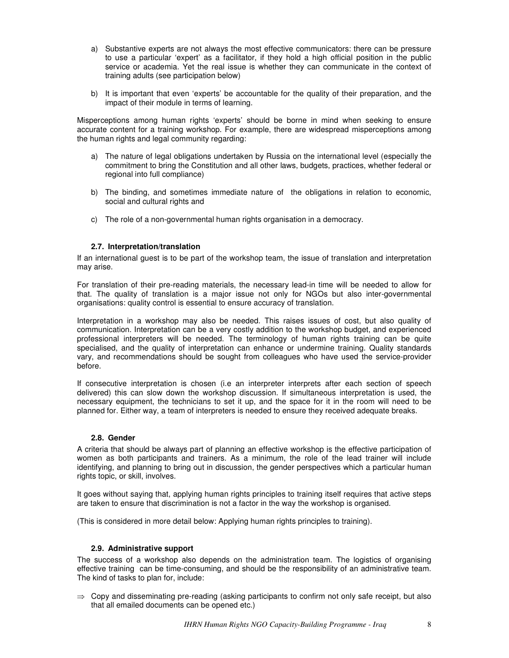- a) Substantive experts are not always the most effective communicators: there can be pressure to use a particular 'expert' as a facilitator, if they hold a high official position in the public service or academia. Yet the real issue is whether they can communicate in the context of training adults (see participation below)
- b) It is important that even 'experts' be accountable for the quality of their preparation, and the impact of their module in terms of learning.

Misperceptions among human rights 'experts' should be borne in mind when seeking to ensure accurate content for a training workshop. For example, there are widespread misperceptions among the human rights and legal community regarding:

- a) The nature of legal obligations undertaken by Russia on the international level (especially the commitment to bring the Constitution and all other laws, budgets, practices, whether federal or regional into full compliance)
- b) The binding, and sometimes immediate nature of the obligations in relation to economic, social and cultural rights and
- c) The role of a non-governmental human rights organisation in a democracy.

# **2.7. Interpretation/translation**

If an international guest is to be part of the workshop team, the issue of translation and interpretation may arise.

For translation of their pre-reading materials, the necessary lead-in time will be needed to allow for that. The quality of translation is a major issue not only for NGOs but also inter-governmental organisations: quality control is essential to ensure accuracy of translation.

Interpretation in a workshop may also be needed. This raises issues of cost, but also quality of communication. Interpretation can be a very costly addition to the workshop budget, and experienced professional interpreters will be needed. The terminology of human rights training can be quite specialised, and the quality of interpretation can enhance or undermine training. Quality standards vary, and recommendations should be sought from colleagues who have used the service-provider before.

If consecutive interpretation is chosen (i.e an interpreter interprets after each section of speech delivered) this can slow down the workshop discussion. If simultaneous interpretation is used, the necessary equipment, the technicians to set it up, and the space for it in the room will need to be planned for. Either way, a team of interpreters is needed to ensure they received adequate breaks.

## **2.8. Gender**

A criteria that should be always part of planning an effective workshop is the effective participation of women as both participants and trainers. As a minimum, the role of the lead trainer will include identifying, and planning to bring out in discussion, the gender perspectives which a particular human rights topic, or skill, involves.

It goes without saying that, applying human rights principles to training itself requires that active steps are taken to ensure that discrimination is not a factor in the way the workshop is organised.

(This is considered in more detail below: Applying human rights principles to training).

## **2.9. Administrative support**

The success of a workshop also depends on the administration team. The logistics of organising effective training can be time-consuming, and should be the responsibility of an administrative team. The kind of tasks to plan for, include:

 $\Rightarrow$  Copy and disseminating pre-reading (asking participants to confirm not only safe receipt, but also that all emailed documents can be opened etc.)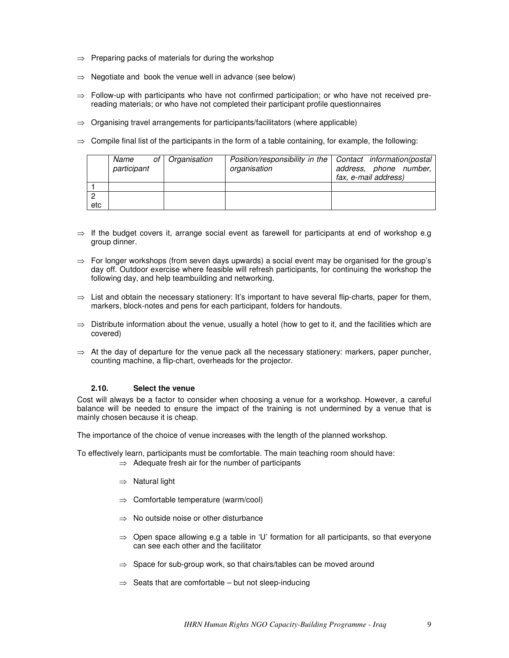- $\Rightarrow$  Preparing packs of materials for during the workshop
- $\Rightarrow$  Negotiate and book the venue well in advance (see below)
- $\Rightarrow$  Follow-up with participants who have not confirmed participation; or who have not received prereading materials; or who have not completed their participant profile questionnaires
- $\Rightarrow$  Organising travel arrangements for participants/facilitators (where applicable)
- $\Rightarrow$  Compile final list of the participants in the form of a table containing, for example, the following:

|     | Name<br>participant | of   Organisation | Position/responsibility in the   Contact information(postal<br>organisation | address, phone number,<br>fax, e-mail address) |
|-----|---------------------|-------------------|-----------------------------------------------------------------------------|------------------------------------------------|
|     |                     |                   |                                                                             |                                                |
|     |                     |                   |                                                                             |                                                |
| etc |                     |                   |                                                                             |                                                |

- $\Rightarrow$  If the budget covers it, arrange social event as farewell for participants at end of workshop e.g group dinner.
- $\Rightarrow$  For longer workshops (from seven days upwards) a social event may be organised for the group's day off. Outdoor exercise where feasible will refresh participants, for continuing the workshop the following day, and help teambuilding and networking.
- $\Rightarrow$  List and obtain the necessary stationery: It's important to have several flip-charts, paper for them, markers, block-notes and pens for each participant, folders for handouts.
- $\Rightarrow$  Distribute information about the venue, usually a hotel (how to get to it, and the facilities which are covered)
- $\Rightarrow$  At the day of departure for the venue pack all the necessary stationery: markers, paper puncher, counting machine, a flip-chart, overheads for the projector.

## **2.10. Select the venue**

Cost will always be a factor to consider when choosing a venue for a workshop. However, a careful balance will be needed to ensure the impact of the training is not undermined by a venue that is mainly chosen because it is cheap.

The importance of the choice of venue increases with the length of the planned workshop.

To effectively learn, participants must be comfortable. The main teaching room should have:  $\Rightarrow$  Adequate fresh air for the number of participants

- $\Rightarrow$  Natural light
- $\Rightarrow$  Comfortable temperature (warm/cool)
- $\Rightarrow$  No outside noise or other disturbance
- $\Rightarrow$  Open space allowing e.g a table in 'U' formation for all participants, so that everyone can see each other and the facilitator
- $\Rightarrow$  Space for sub-group work, so that chairs/tables can be moved around
- $\Rightarrow$  Seats that are comfortable but not sleep-inducing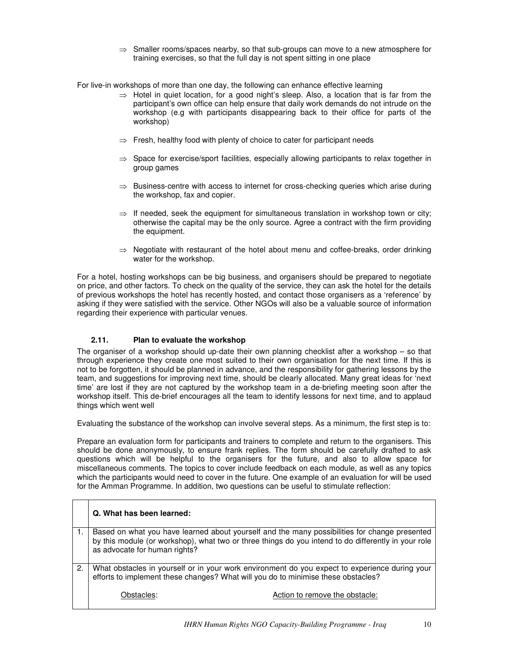$\Rightarrow$  Smaller rooms/spaces nearby, so that sub-groups can move to a new atmosphere for training exercises, so that the full day is not spent sitting in one place

For live-in workshops of more than one day, the following can enhance effective learning

- $\Rightarrow$  Hotel in quiet location, for a good night's sleep. Also, a location that is far from the participant's own office can help ensure that daily work demands do not intrude on the workshop (e.g with participants disappearing back to their office for parts of the workshop)
- $\Rightarrow$  Fresh, healthy food with plenty of choice to cater for participant needs
- $\Rightarrow$  Space for exercise/sport facilities, especially allowing participants to relax together in group games
- $\Rightarrow$  Business-centre with access to internet for cross-checking queries which arise during the workshop, fax and copier.
- $\Rightarrow$  If needed, seek the equipment for simultaneous translation in workshop town or city; otherwise the capital may be the only source. Agree a contract with the firm providing the equipment.
- $\Rightarrow$  Negotiate with restaurant of the hotel about menu and coffee-breaks, order drinking water for the workshop.

For a hotel, hosting workshops can be big business, and organisers should be prepared to negotiate on price, and other factors. To check on the quality of the service, they can ask the hotel for the details of previous workshops the hotel has recently hosted, and contact those organisers as a 'reference' by asking if they were satisfied with the service. Other NGOs will also be a valuable source of information regarding their experience with particular venues.

# **2.11. Plan to evaluate the workshop**

The organiser of a workshop should up-date their own planning checklist after a workshop – so that through experience they create one most suited to their own organisation for the next time. If this is not to be forgotten, it should be planned in advance, and the responsibility for gathering lessons by the team, and suggestions for improving next time, should be clearly allocated. Many great ideas for 'next time' are lost if they are not captured by the workshop team in a de-briefing meeting soon after the workshop itself. This de-brief encourages all the team to identify lessons for next time, and to applaud things which went well

Evaluating the substance of the workshop can involve several steps. As a minimum, the first step is to:

Prepare an evaluation form for participants and trainers to complete and return to the organisers. This should be done anonymously, to ensure frank replies. The form should be carefully drafted to ask questions which will be helpful to the organisers for the future, and also to allow space for miscellaneous comments. The topics to cover include feedback on each module, as well as any topics which the participants would need to cover in the future. One example of an evaluation for will be used for the Amman Programme. In addition, two questions can be useful to stimulate reflection:

|    | Q. What has been learned:                                                                                                                                                                                                             |  |  |  |
|----|---------------------------------------------------------------------------------------------------------------------------------------------------------------------------------------------------------------------------------------|--|--|--|
|    | Based on what you have learned about yourself and the many possibilities for change presented<br>by this module (or workshop), what two or three things do you intend to do differently in your role<br>as advocate for human rights? |  |  |  |
| 2. | What obstacles in yourself or in your work environment do you expect to experience during your<br>efforts to implement these changes? What will you do to minimise these obstacles?                                                   |  |  |  |
|    | Action to remove the obstacle:<br>Obstacles:                                                                                                                                                                                          |  |  |  |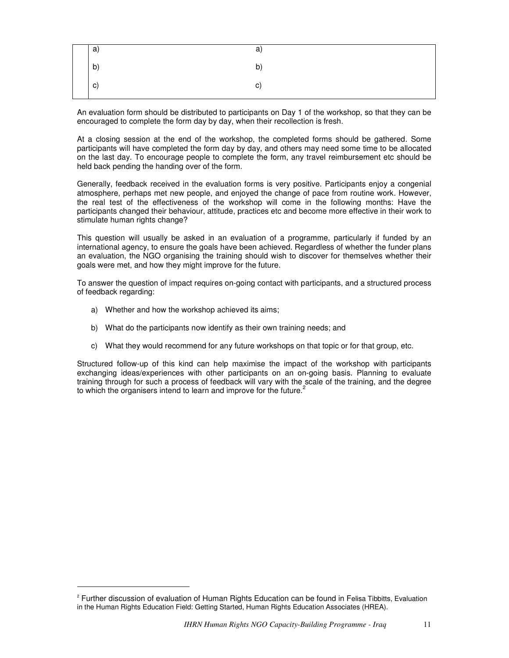| a) | a) |
|----|----|
| b) | b) |
| c) | C) |

An evaluation form should be distributed to participants on Day 1 of the workshop, so that they can be encouraged to complete the form day by day, when their recollection is fresh.

At a closing session at the end of the workshop, the completed forms should be gathered. Some participants will have completed the form day by day, and others may need some time to be allocated on the last day. To encourage people to complete the form, any travel reimbursement etc should be held back pending the handing over of the form.

Generally, feedback received in the evaluation forms is very positive. Participants enjoy a congenial atmosphere, perhaps met new people, and enjoyed the change of pace from routine work. However, the real test of the effectiveness of the workshop will come in the following months: Have the participants changed their behaviour, attitude, practices etc and become more effective in their work to stimulate human rights change?

This question will usually be asked in an evaluation of a programme, particularly if funded by an international agency, to ensure the goals have been achieved. Regardless of whether the funder plans an evaluation, the NGO organising the training should wish to discover for themselves whether their goals were met, and how they might improve for the future.

To answer the question of impact requires on-going contact with participants, and a structured process of feedback regarding:

- a) Whether and how the workshop achieved its aims;
- b) What do the participants now identify as their own training needs; and
- c) What they would recommend for any future workshops on that topic or for that group, etc.

Structured follow-up of this kind can help maximise the impact of the workshop with participants exchanging ideas/experiences with other participants on an on-going basis. Planning to evaluate training through for such a process of feedback will vary with the scale of the training, and the degree to which the organisers intend to learn and improve for the future.<sup>2</sup>

<sup>&</sup>lt;sup>2</sup> Further discussion of evaluation of Human Rights Education can be found in Felisa Tibbitts, Evaluation in the Human Rights Education Field: Getting Started, Human Rights Education Associates (HREA).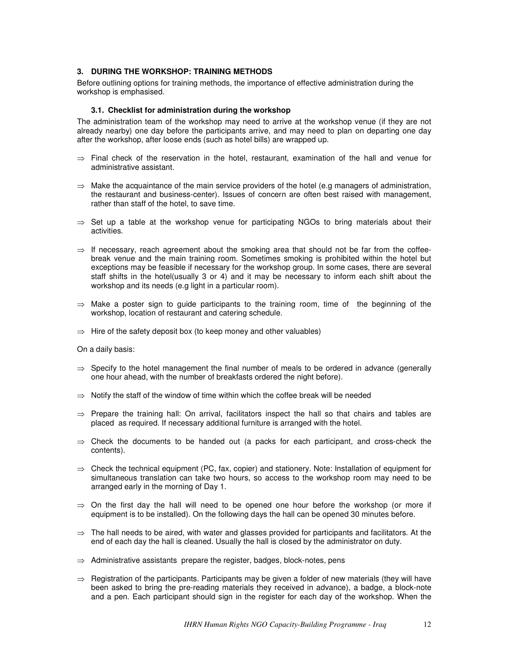# **3. DURING THE WORKSHOP: TRAINING METHODS**

Before outlining options for training methods, the importance of effective administration during the workshop is emphasised.

# **3.1. Checklist for administration during the workshop**

The administration team of the workshop may need to arrive at the workshop venue (if they are not already nearby) one day before the participants arrive, and may need to plan on departing one day after the workshop, after loose ends (such as hotel bills) are wrapped up.

- $\Rightarrow$  Final check of the reservation in the hotel, restaurant, examination of the hall and venue for administrative assistant.
- $\Rightarrow$  Make the acquaintance of the main service providers of the hotel (e.g managers of administration, the restaurant and business-center). Issues of concern are often best raised with management, rather than staff of the hotel, to save time.
- $\Rightarrow$  Set up a table at the workshop venue for participating NGOs to bring materials about their activities.
- $\Rightarrow$  If necessary, reach agreement about the smoking area that should not be far from the coffeebreak venue and the main training room. Sometimes smoking is prohibited within the hotel but exceptions may be feasible if necessary for the workshop group. In some cases, there are several staff shifts in the hotel(usually 3 or 4) and it may be necessary to inform each shift about the workshop and its needs (e.g light in a particular room).
- $\Rightarrow$  Make a poster sign to guide participants to the training room, time of the beginning of the workshop, location of restaurant and catering schedule.
- $\Rightarrow$  Hire of the safety deposit box (to keep money and other valuables)

On a daily basis:

- $\Rightarrow$  Specify to the hotel management the final number of meals to be ordered in advance (generally one hour ahead, with the number of breakfasts ordered the night before).
- $\Rightarrow$  Notify the staff of the window of time within which the coffee break will be needed
- $\Rightarrow$  Prepare the training hall: On arrival, facilitators inspect the hall so that chairs and tables are placed as required. If necessary additional furniture is arranged with the hotel.
- $\Rightarrow$  Check the documents to be handed out (a packs for each participant, and cross-check the contents).
- $\Rightarrow$  Check the technical equipment (PC, fax, copier) and stationery. Note: Installation of equipment for simultaneous translation can take two hours, so access to the workshop room may need to be arranged early in the morning of Day 1.
- $\Rightarrow$  On the first day the hall will need to be opened one hour before the workshop (or more if equipment is to be installed). On the following days the hall can be opened 30 minutes before.
- $\Rightarrow$  The hall needs to be aired, with water and glasses provided for participants and facilitators. At the end of each day the hall is cleaned. Usually the hall is closed by the administrator on duty.
- $\Rightarrow$  Administrative assistants prepare the register, badges, block-notes, pens
- $\Rightarrow$  Registration of the participants. Participants may be given a folder of new materials (they will have been asked to bring the pre-reading materials they received in advance), a badge, a block-note and a pen. Each participant should sign in the register for each day of the workshop. When the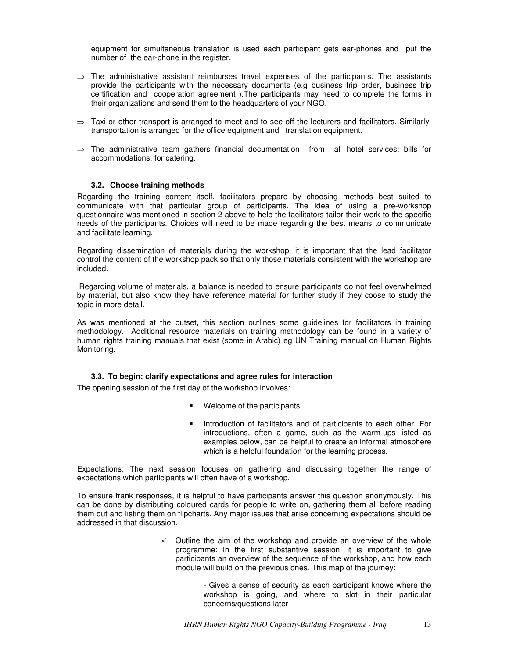equipment for simultaneous translation is used each participant gets ear-phones and put the number of the ear-phone in the register.

- $\Rightarrow$  The administrative assistant reimburses travel expenses of the participants. The assistants provide the participants with the necessary documents (e.g business trip order, business trip certification and cooperation agreement ).The participants may need to complete the forms in their organizations and send them to the headquarters of your NGO.
- $\Rightarrow$  Taxi or other transport is arranged to meet and to see off the lecturers and facilitators. Similarly, transportation is arranged for the office equipment and translation equipment.
- $\Rightarrow$  The administrative team gathers financial documentation from all hotel services: bills for accommodations, for catering.

# **3.2. Choose training methods**

Regarding the training content itself, facilitators prepare by choosing methods best suited to communicate with that particular group of participants. The idea of using a pre-workshop questionnaire was mentioned in section 2 above to help the facilitators tailor their work to the specific needs of the participants. Choices will need to be made regarding the best means to communicate and facilitate learning.

Regarding dissemination of materials during the workshop, it is important that the lead facilitator control the content of the workshop pack so that only those materials consistent with the workshop are included.

Regarding volume of materials, a balance is needed to ensure participants do not feel overwhelmed by material, but also know they have reference material for further study if they coose to study the topic in more detail.

As was mentioned at the outset, this section outlines some guidelines for facilitators in training methodology. Additional resource materials on training methodology can be found in a variety of human rights training manuals that exist (some in Arabic) eg UN Training manual on Human Rights Monitoring.

#### **3.3. To begin: clarify expectations and agree rules for interaction**

The opening session of the first day of the workshop involves:

- Welcome of the participants
- Introduction of facilitators and of participants to each other. For introductions, often a game, such as the warm-ups listed as examples below, can be helpful to create an informal atmosphere which is a helpful foundation for the learning process.

Expectations: The next session focuses on gathering and discussing together the range of expectations which participants will often have of a workshop.

To ensure frank responses, it is helpful to have participants answer this question anonymously. This can be done by distributing coloured cards for people to write on, gathering them all before reading them out and listing them on flipcharts. Any major issues that arise concerning expectations should be addressed in that discussion.

> $\checkmark$  Outline the aim of the workshop and provide an overview of the whole programme: In the first substantive session, it is important to give participants an overview of the sequence of the workshop, and how each module will build on the previous ones. This map of the journey:

> > - Gives a sense of security as each participant knows where the workshop is going, and where to slot in their particular concerns/questions later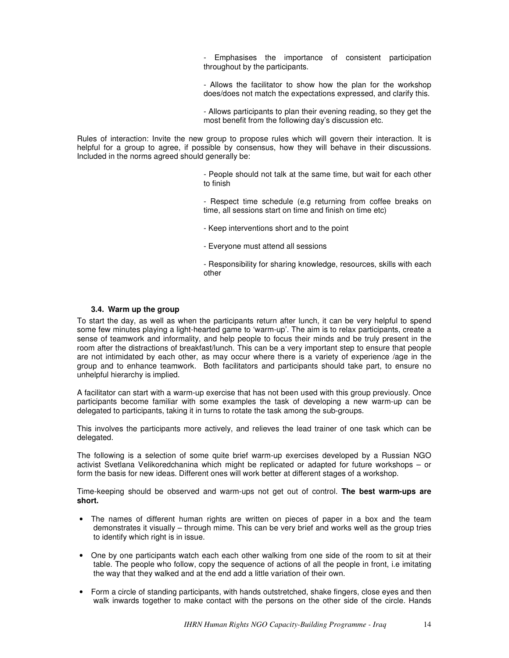- Emphasises the importance of consistent participation throughout by the participants.

- Allows the facilitator to show how the plan for the workshop does/does not match the expectations expressed, and clarify this.

- Allows participants to plan their evening reading, so they get the most benefit from the following day's discussion etc.

Rules of interaction: Invite the new group to propose rules which will govern their interaction. It is helpful for a group to agree, if possible by consensus, how they will behave in their discussions. Included in the norms agreed should generally be:

> - People should not talk at the same time, but wait for each other to finish

> - Respect time schedule (e.g returning from coffee breaks on time, all sessions start on time and finish on time etc)

- Keep interventions short and to the point
- Everyone must attend all sessions

- Responsibility for sharing knowledge, resources, skills with each other

#### **3.4. Warm up the group**

To start the day, as well as when the participants return after lunch, it can be very helpful to spend some few minutes playing a light-hearted game to 'warm-up'. The aim is to relax participants, create a sense of teamwork and informality, and help people to focus their minds and be truly present in the room after the distractions of breakfast/lunch. This can be a very important step to ensure that people are not intimidated by each other, as may occur where there is a variety of experience /age in the group and to enhance teamwork. Both facilitators and participants should take part, to ensure no unhelpful hierarchy is implied.

A facilitator can start with a warm-up exercise that has not been used with this group previously. Once participants become familiar with some examples the task of developing a new warm-up can be delegated to participants, taking it in turns to rotate the task among the sub-groups.

This involves the participants more actively, and relieves the lead trainer of one task which can be delegated.

The following is a selection of some quite brief warm-up exercises developed by a Russian NGO activist Svetlana Velikoredchanina which might be replicated or adapted for future workshops – or form the basis for new ideas. Different ones will work better at different stages of a workshop.

Time-keeping should be observed and warm-ups not get out of control. **The best warm-ups are short.**

- The names of different human rights are written on pieces of paper in a box and the team demonstrates it visually – through mime. This can be very brief and works well as the group tries to identify which right is in issue.
- One by one participants watch each each other walking from one side of the room to sit at their table. The people who follow, copy the sequence of actions of all the people in front, i.e imitating the way that they walked and at the end add a little variation of their own.
- Form a circle of standing participants, with hands outstretched, shake fingers, close eyes and then walk inwards together to make contact with the persons on the other side of the circle. Hands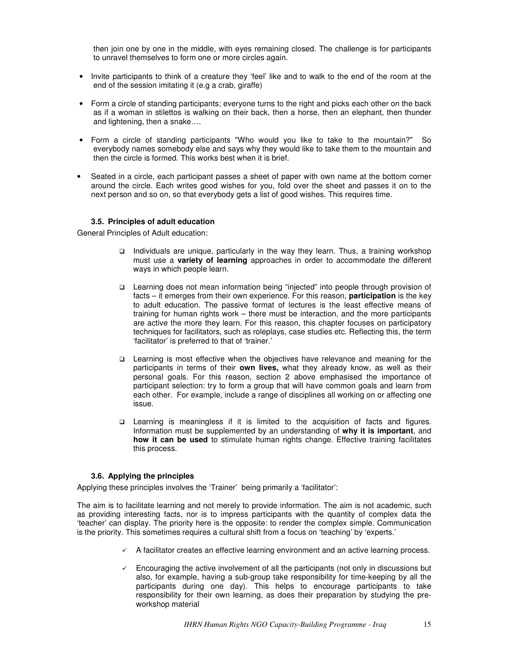then join one by one in the middle, with eyes remaining closed. The challenge is for participants to unravel themselves to form one or more circles again.

- Invite participants to think of a creature they 'feel' like and to walk to the end of the room at the end of the session imitating it (e.g a crab, giraffe)
- Form a circle of standing participants; everyone turns to the right and picks each other on the back as if a woman in stilettos is walking on their back, then a horse, then an elephant, then thunder and lightening, then a snake….
- Form a circle of standing participants "Who would you like to take to the mountain?" So everybody names somebody else and says why they would like to take them to the mountain and then the circle is formed. This works best when it is brief.
- Seated in a circle, each participant passes a sheet of paper with own name at the bottom corner around the circle. Each writes good wishes for you, fold over the sheet and passes it on to the next person and so on, so that everybody gets a list of good wishes. This requires time.

# **3.5. Principles of adult education**

General Principles of Adult education:

- Individuals are unique, particularly in the way they learn. Thus, a training workshop must use a **variety of learning** approaches in order to accommodate the different ways in which people learn.
- Learning does not mean information being "injected" into people through provision of facts – it emerges from their own experience. For this reason, **participation** is the key to adult education. The passive format of lectures is the least effective means of training for human rights work – there must be interaction, and the more participants are active the more they learn. For this reason, this chapter focuses on participatory techniques for facilitators, such as roleplays, case studies etc. Reflecting this, the term 'facilitator' is preferred to that of 'trainer.'
- Learning is most effective when the objectives have relevance and meaning for the participants in terms of their **own lives,** what they already know, as well as their personal goals. For this reason, section 2 above emphasised the importance of participant selection: try to form a group that will have common goals and learn from each other. For example, include a range of disciplines all working on or affecting one issue.
- Learning is meaningless if it is limited to the acquisition of facts and figures. Information must be supplemented by an understanding of **why it is important**, and **how it can be used** to stimulate human rights change. Effective training facilitates this process.

## **3.6. Applying the principles**

Applying these principles involves the 'Trainer' being primarily a 'facilitator':

The aim is to facilitate learning and not merely to provide information. The aim is not academic, such as providing interesting facts, nor is to impress participants with the quantity of complex data the 'teacher' can display. The priority here is the opposite: to render the complex simple. Communication is the priority. This sometimes requires a cultural shift from a focus on 'teaching' by 'experts.'

- A facilitator creates an effective learning environment and an active learning process.
- $\checkmark$  Encouraging the active involvement of all the participants (not only in discussions but also, for example, having a sub-group take responsibility for time-keeping by all the participants during one day). This helps to encourage participants to take responsibility for their own learning, as does their preparation by studying the preworkshop material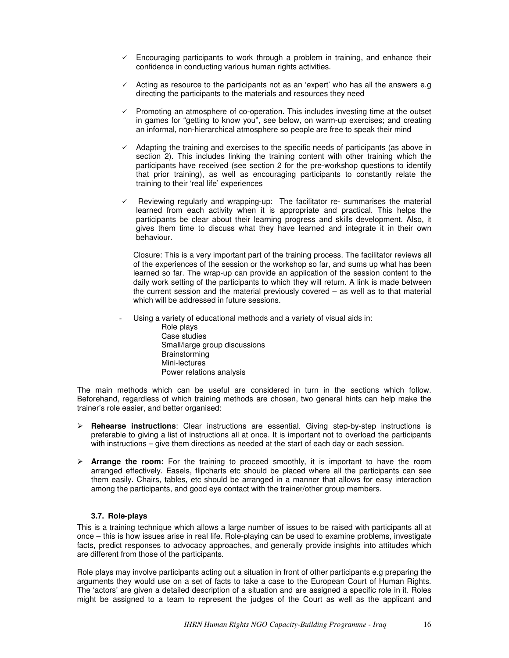- $\checkmark$  Encouraging participants to work through a problem in training, and enhance their confidence in conducting various human rights activities.
- $\checkmark$  Acting as resource to the participants not as an 'expert' who has all the answers e.g directing the participants to the materials and resources they need
- $\checkmark$  Promoting an atmosphere of co-operation. This includes investing time at the outset in games for "getting to know you", see below, on warm-up exercises; and creating an informal, non-hierarchical atmosphere so people are free to speak their mind
- $\checkmark$  Adapting the training and exercises to the specific needs of participants (as above in section 2). This includes linking the training content with other training which the participants have received (see section 2 for the pre-workshop questions to identify that prior training), as well as encouraging participants to constantly relate the training to their 'real life' experiences
- $\checkmark$  Reviewing regularly and wrapping-up: The facilitator re- summarises the material learned from each activity when it is appropriate and practical. This helps the participants be clear about their learning progress and skills development. Also, it gives them time to discuss what they have learned and integrate it in their own behaviour.

Closure: This is a very important part of the training process. The facilitator reviews all of the experiences of the session or the workshop so far, and sums up what has been learned so far. The wrap-up can provide an application of the session content to the daily work setting of the participants to which they will return. A link is made between the current session and the material previously covered – as well as to that material which will be addressed in future sessions.

Using a variety of educational methods and a variety of visual aids in:

Role plays Case studies Small/large group discussions Brainstorming Mini-lectures Power relations analysis

The main methods which can be useful are considered in turn in the sections which follow. Beforehand, regardless of which training methods are chosen, two general hints can help make the trainer's role easier, and better organised:

- **Rehearse instructions**: Clear instructions are essential. Giving step-by-step instructions is preferable to giving a list of instructions all at once. It is important not to overload the participants with instructions – give them directions as needed at the start of each day or each session.
- **Arrange the room:** For the training to proceed smoothly, it is important to have the room arranged effectively. Easels, flipcharts etc should be placed where all the participants can see them easily. Chairs, tables, etc should be arranged in a manner that allows for easy interaction among the participants, and good eye contact with the trainer/other group members.

# **3.7. Role-plays**

This is a training technique which allows a large number of issues to be raised with participants all at once – this is how issues arise in real life. Role-playing can be used to examine problems, investigate facts, predict responses to advocacy approaches, and generally provide insights into attitudes which are different from those of the participants.

Role plays may involve participants acting out a situation in front of other participants e.g preparing the arguments they would use on a set of facts to take a case to the European Court of Human Rights. The 'actors' are given a detailed description of a situation and are assigned a specific role in it. Roles might be assigned to a team to represent the judges of the Court as well as the applicant and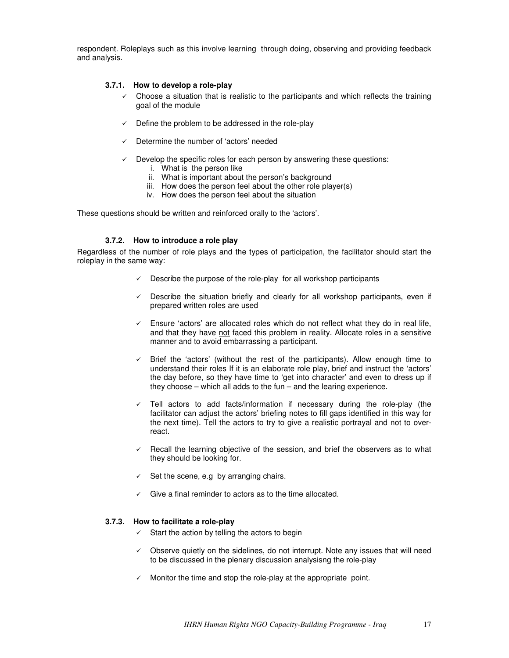respondent. Roleplays such as this involve learning through doing, observing and providing feedback and analysis.

# **3.7.1. How to develop a role-play**

- $\checkmark$  Choose a situation that is realistic to the participants and which reflects the training goal of the module
- $\checkmark$  Define the problem to be addressed in the role-play
- Determine the number of 'actors' needed
- $\checkmark$  Develop the specific roles for each person by answering these questions:
	- i. What is the person like
	- ii. What is important about the person's background
	- iii. How does the person feel about the other role player(s)
	- iv. How does the person feel about the situation

These questions should be written and reinforced orally to the 'actors'.

# **3.7.2. How to introduce a role play**

Regardless of the number of role plays and the types of participation, the facilitator should start the roleplay in the same way:

- $\checkmark$  Describe the purpose of the role-play for all workshop participants
- $\checkmark$  Describe the situation briefly and clearly for all workshop participants, even if prepared written roles are used
- $\checkmark$  Ensure 'actors' are allocated roles which do not reflect what they do in real life, and that they have not faced this problem in reality. Allocate roles in a sensitive manner and to avoid embarrassing a participant.
- $\checkmark$  Brief the 'actors' (without the rest of the participants). Allow enough time to understand their roles If it is an elaborate role play, brief and instruct the 'actors' the day before, so they have time to 'get into character' and even to dress up if they choose – which all adds to the fun – and the learing experience.
- $\checkmark$  Tell actors to add facts/information if necessary during the role-play (the facilitator can adjust the actors' briefing notes to fill gaps identified in this way for the next time). Tell the actors to try to give a realistic portrayal and not to overreact.
- $\checkmark$  Recall the learning objective of the session, and brief the observers as to what they should be looking for.
- $\checkmark$  Set the scene, e.g by arranging chairs.
- $\checkmark$  Give a final reminder to actors as to the time allocated.

## **3.7.3. How to facilitate a role-play**

- $\checkmark$  Start the action by telling the actors to begin
- $\checkmark$  Observe quietly on the sidelines, do not interrupt. Note any issues that will need to be discussed in the plenary discussion analysisng the role-play
- $\checkmark$  Monitor the time and stop the role-play at the appropriate point.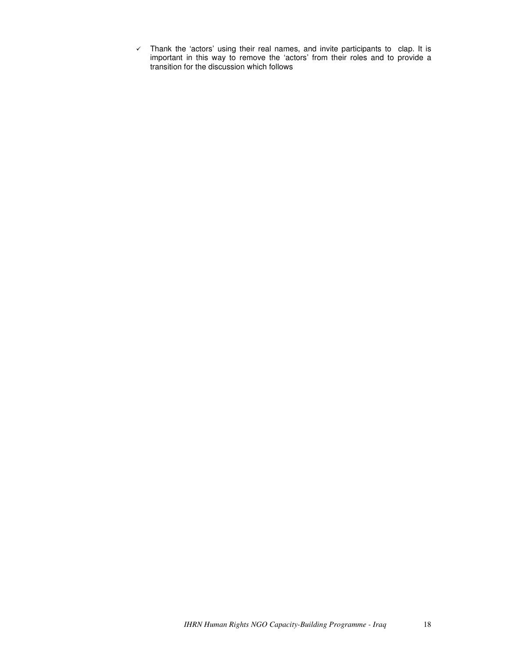$\checkmark$  Thank the 'actors' using their real names, and invite participants to clap. It is important in this way to remove the 'actors' from their roles and to provide a transition for the discussion which follows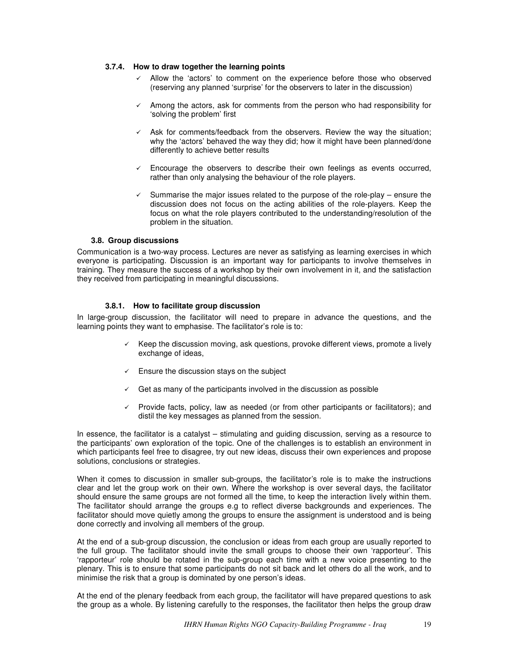## **3.7.4. How to draw together the learning points**

- $\checkmark$  Allow the 'actors' to comment on the experience before those who observed (reserving any planned 'surprise' for the observers to later in the discussion)
- $\checkmark$  Among the actors, ask for comments from the person who had responsibility for 'solving the problem' first
- Ask for comments/feedback from the observers. Review the way the situation; why the 'actors' behaved the way they did; how it might have been planned/done differently to achieve better results
- $\checkmark$  Encourage the observers to describe their own feelings as events occurred, rather than only analysing the behaviour of the role players.
- $\checkmark$  Summarise the major issues related to the purpose of the role-play ensure the discussion does not focus on the acting abilities of the role-players. Keep the focus on what the role players contributed to the understanding/resolution of the problem in the situation.

# **3.8. Group discussions**

Communication is a two-way process. Lectures are never as satisfying as learning exercises in which everyone is participating. Discussion is an important way for participants to involve themselves in training. They measure the success of a workshop by their own involvement in it, and the satisfaction they received from participating in meaningful discussions.

# **3.8.1. How to facilitate group discussion**

In large-group discussion, the facilitator will need to prepare in advance the questions, and the learning points they want to emphasise. The facilitator's role is to:

- $\checkmark$  Keep the discussion moving, ask questions, provoke different views, promote a lively exchange of ideas,
- $\checkmark$  Ensure the discussion stays on the subject
- $\checkmark$  Get as many of the participants involved in the discussion as possible
- $\checkmark$  Provide facts, policy, law as needed (or from other participants or facilitators); and distil the key messages as planned from the session.

In essence, the facilitator is a catalyst – stimulating and guiding discussion, serving as a resource to the participants' own exploration of the topic. One of the challenges is to establish an environment in which participants feel free to disagree, try out new ideas, discuss their own experiences and propose solutions, conclusions or strategies.

When it comes to discussion in smaller sub-groups, the facilitator's role is to make the instructions clear and let the group work on their own. Where the workshop is over several days, the facilitator should ensure the same groups are not formed all the time, to keep the interaction lively within them. The facilitator should arrange the groups e.g to reflect diverse backgrounds and experiences. The facilitator should move quietly among the groups to ensure the assignment is understood and is being done correctly and involving all members of the group.

At the end of a sub-group discussion, the conclusion or ideas from each group are usually reported to the full group. The facilitator should invite the small groups to choose their own 'rapporteur'. This 'rapporteur' role should be rotated in the sub-group each time with a new voice presenting to the plenary. This is to ensure that some participants do not sit back and let others do all the work, and to minimise the risk that a group is dominated by one person's ideas.

At the end of the plenary feedback from each group, the facilitator will have prepared questions to ask the group as a whole. By listening carefully to the responses, the facilitator then helps the group draw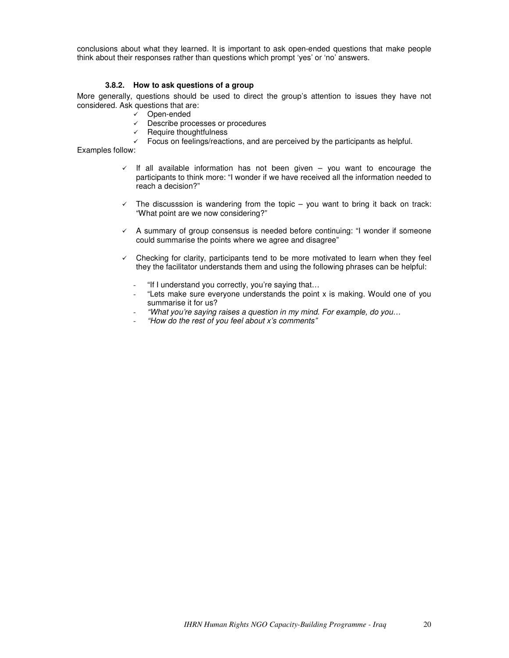conclusions about what they learned. It is important to ask open-ended questions that make people think about their responses rather than questions which prompt 'yes' or 'no' answers.

# **3.8.2. How to ask questions of a group**

More generally, questions should be used to direct the group's attention to issues they have not considered. Ask questions that are:

- Open-ended
- Describe processes or procedures
- $\checkmark$  Require thoughtfulness
- $\checkmark$  Focus on feelings/reactions, and are perceived by the participants as helpful.

Examples follow:

- $\checkmark$  If all available information has not been given you want to encourage the participants to think more: "I wonder if we have received all the information needed to reach a decision?"
- $\checkmark$  The discusssion is wandering from the topic  $-$  you want to bring it back on track: "What point are we now considering?"
- $\checkmark$  A summary of group consensus is needed before continuing: "I wonder if someone could summarise the points where we agree and disagree"
- $\checkmark$  Checking for clarity, participants tend to be more motivated to learn when they feel they the facilitator understands them and using the following phrases can be helpful:
	- "If I understand you correctly, you're saying that…
	- "Lets make sure everyone understands the point  $x$  is making. Would one of you summarise it for us?
	- *"What you're saying raises a question in my mind. For example, do you…*
	- *"How do the rest of you feel about x's comments"*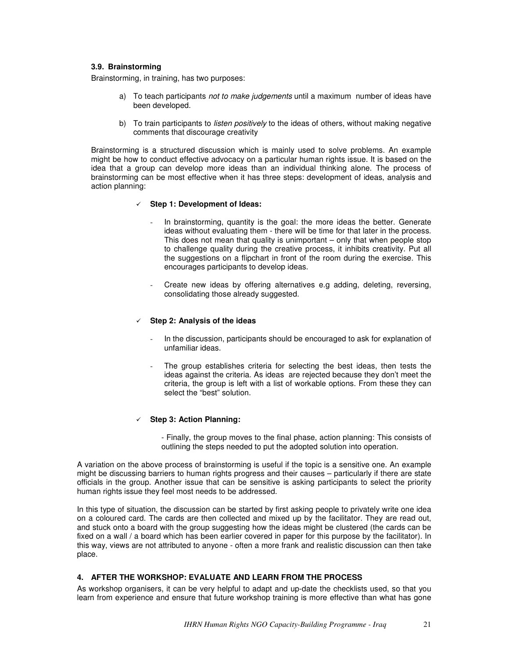# **3.9. Brainstorming**

Brainstorming, in training, has two purposes:

- a) To teach participants *not to make judgements* until a maximum number of ideas have been developed.
- b) To train participants to *listen positively* to the ideas of others, without making negative comments that discourage creativity

Brainstorming is a structured discussion which is mainly used to solve problems. An example might be how to conduct effective advocacy on a particular human rights issue. It is based on the idea that a group can develop more ideas than an individual thinking alone. The process of brainstorming can be most effective when it has three steps: development of ideas, analysis and action planning:

## - **Step 1: Development of Ideas:**

- In brainstorming, quantity is the goal: the more ideas the better. Generate ideas without evaluating them - there will be time for that later in the process. This does not mean that quality is unimportant – only that when people stop to challenge quality during the creative process, it inhibits creativity. Put all the suggestions on a flipchart in front of the room during the exercise. This encourages participants to develop ideas.
- Create new ideas by offering alternatives e.g adding, deleting, reversing, consolidating those already suggested.

# - **Step 2: Analysis of the ideas**

- In the discussion, participants should be encouraged to ask for explanation of unfamiliar ideas.
- The group establishes criteria for selecting the best ideas, then tests the ideas against the criteria. As ideas are rejected because they don't meet the criteria, the group is left with a list of workable options. From these they can select the "best" solution.

# - **Step 3: Action Planning:**

- Finally, the group moves to the final phase, action planning: This consists of outlining the steps needed to put the adopted solution into operation.

A variation on the above process of brainstorming is useful if the topic is a sensitive one. An example might be discussing barriers to human rights progress and their causes – particularly if there are state officials in the group. Another issue that can be sensitive is asking participants to select the priority human rights issue they feel most needs to be addressed.

In this type of situation, the discussion can be started by first asking people to privately write one idea on a coloured card. The cards are then collected and mixed up by the facilitator. They are read out, and stuck onto a board with the group suggesting how the ideas might be clustered (the cards can be fixed on a wall / a board which has been earlier covered in paper for this purpose by the facilitator). In this way, views are not attributed to anyone - often a more frank and realistic discussion can then take place.

## **4. AFTER THE WORKSHOP: EVALUATE AND LEARN FROM THE PROCESS**

As workshop organisers, it can be very helpful to adapt and up-date the checklists used, so that you learn from experience and ensure that future workshop training is more effective than what has gone